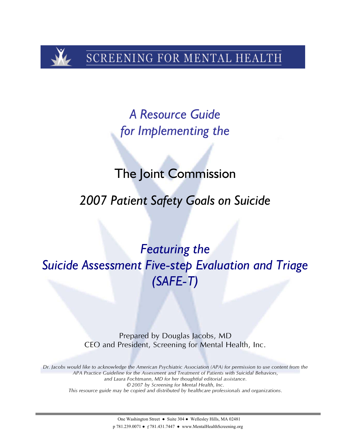SCREENING FOR MENTAL HEALTH

*A Resource Guide for Implementing the* 

# The Joint Commission

# *2007 Patient Safety Goals on Suicide*

*Featuring the Suicide Assessment Five-step Evaluation and Triage (SAFE-T)* 

> Prepared by Douglas Jacobs, MD CEO and President, Screening for Mental Health, Inc.

*Dr. Jacobs would like to acknowledge the American Psychiatric Association (APA) for permission to use content from the APA Practice Guideline for the Assessment and Treatment of Patients with Suicidal Behaviors, and Laura Fochtmann, MD for her thoughtful editorial assistance. © 2007 by Screening for Mental Health, Inc. This resource guide may be copied and distributed by healthcare professionals and organizations.*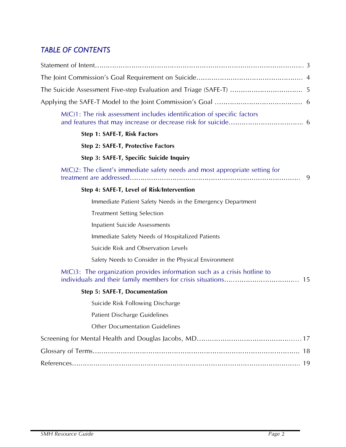# *TABLE OF CONTENTS*

| M(C)1: The risk assessment includes identification of specific factors                                     |    |
|------------------------------------------------------------------------------------------------------------|----|
| Step 1: SAFE-T, Risk Factors                                                                               |    |
| Step 2: SAFE-T, Protective Factors                                                                         |    |
| Step 3: SAFE-T, Specific Suicide Inquiry                                                                   |    |
| $M(C)2$ : The client's immediate safety needs and most appropriate setting for<br>treatment are addressed. | 9  |
| Step 4: SAFE-T, Level of Risk/Intervention                                                                 |    |
| Immediate Patient Safety Needs in the Emergency Department                                                 |    |
| <b>Treatment Setting Selection</b>                                                                         |    |
| <b>Inpatient Suicide Assessments</b>                                                                       |    |
| Immediate Safety Needs of Hospitalized Patients                                                            |    |
| Suicide Risk and Observation Levels                                                                        |    |
| Safety Needs to Consider in the Physical Environment                                                       |    |
| $M(C)$ 3: The organization provides information such as a crisis hotline to                                | 15 |
| <b>Step 5: SAFE-T, Documentation</b>                                                                       |    |
| Suicide Risk Following Discharge                                                                           |    |
| <b>Patient Discharge Guidelines</b>                                                                        |    |
| <b>Other Documentation Guidelines</b>                                                                      |    |
|                                                                                                            |    |
|                                                                                                            |    |
|                                                                                                            | 19 |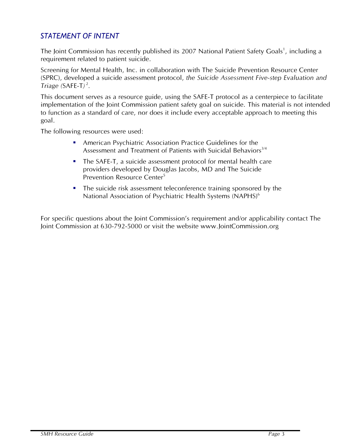# *STATEMENT OF INTENT*

The Joint Commission has recently published its 2007 National Patient Safety Goals<sup>1</sup>, including a requirement related to patient suicide.

Screening for Mental Health, Inc. in collaboration with The Suicide Prevention Resource Center (SPRC), developed a suicide assessment protocol, *the Suicide Assessment Five-step Evaluation and*   $Triangle (SAFE-T)^2$ .

This document serves as a resource guide, using the SAFE-T protocol as a centerpiece to facilitate implementation of the Joint Commission patient safety goal on suicide. This material is not intended to function as a standard of care, nor does it include every acceptable approach to meeting this goal.

The following resources were used:

- American Psychiatric Association Practice Guidelines for the Assessment and Treatment of Patients with Suicidal Behaviors<sup>3/4</sup>
- The SAFE-T, a suicide assessment protocol for mental health care providers developed by Douglas Jacobs, MD and The Suicide Prevention Resource Center<sup>5</sup>
- The suicide risk assessment teleconference training sponsored by the National Association of Psychiatric Health Systems (NAPHS)<sup>6</sup>

For specific questions about the Joint Commission's requirement and/or applicability contact The Joint Commission at 630-792-5000 or visit the website www.JointCommission.org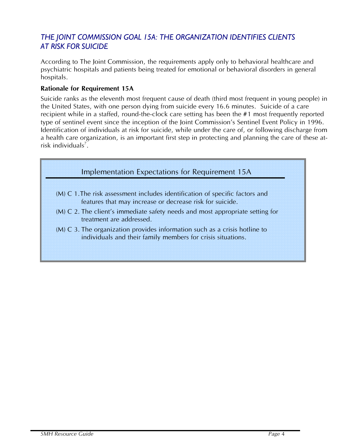# *THE JOINT COMMISSION GOAL 15A: THE ORGANIZATION IDENTIFIES CLIENTS AT RISK FOR SUICIDE*

According to The Joint Commission, the requirements apply only to behavioral healthcare and psychiatric hospitals and patients being treated for emotional or behavioral disorders in general hospitals.

#### **Rationale for Requirement 15A**

Suicide ranks as the eleventh most frequent cause of death (third most frequent in young people) in the United States, with one person dying from suicide every 16.6 minutes. Suicide of a care recipient while in a staffed, round-the-clock care setting has been the #1 most frequently reported type of sentinel event since the inception of the Joint Commission's Sentinel Event Policy in 1996. Identification of individuals at risk for suicide, while under the care of, or following discharge from a health care organization, is an important first step in protecting and planning the care of these atrisk individuals<sup>7</sup>.

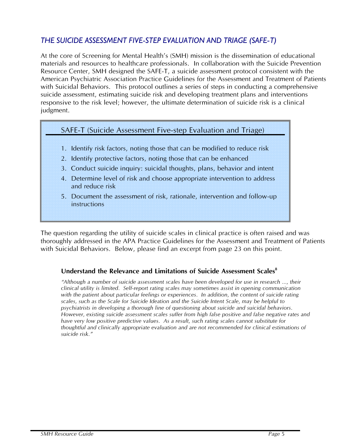# *THE SUICIDE ASSESSMENT FIVE-STEP EVALUATION AND TRIAGE (SAFE-T)*

At the core of Screening for Mental Health's (SMH) mission is the dissemination of educational materials and resources to healthcare professionals. In collaboration with the Suicide Prevention Resource Center, SMH designed the SAFE-T, a suicide assessment protocol consistent with the American Psychiatric Association Practice Guidelines for the Assessment and Treatment of Patients with Suicidal Behaviors. This protocol outlines a series of steps in conducting a comprehensive suicide assessment, estimating suicide risk and developing treatment plans and interventions responsive to the risk level; however, the ultimate determination of suicide risk is a clinical judgment.

# SAFE-T (Suicide Assessment Five-step Evaluation and Triage)

- 1. Identify risk factors, noting those that can be modified to reduce risk
- 2. Identify protective factors, noting those that can be enhanced
- 3. Conduct suicide inquiry: suicidal thoughts, plans, behavior and intent
- 4. Determine level of risk and choose appropriate intervention to address and reduce risk
- 5. Document the assessment of risk, rationale, intervention and follow-up instructions

The question regarding the utility of suicide scales in clinical practice is often raised and was thoroughly addressed in the APA Practice Guidelines for the Assessment and Treatment of Patients with Suicidal Behaviors. Below, please find an excerpt from page 23 on this point.

# Understand the Relevance and Limitations of Suicide Assessment Scales<sup>8</sup>

*"Although a number of suicide assessment scales have been developed for use in research ..., their clinical utility is limited. Self-report rating scales may sometimes assist in opening communication with the patient about particular feelings or experiences. In addition, the content of suicide rating scales, such as the Scale for Suicide Ideation and the Suicide Intent Scale, may be helpful to psychiatrists in developing a thorough line of questioning about suicide and suicidal behaviors. However, existing suicide assessment scales suffer from high false positive and false negative rates and have very low positive predictive values. As a result, such rating scales cannot substitute for thoughtful and clinically appropriate evaluation and are not recommended for clinical estimations of suicide risk."*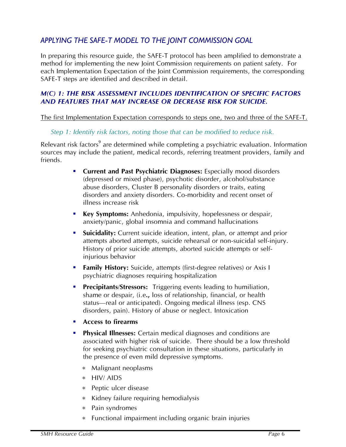# *APPLYING THE SAFE-T MODEL TO THE JOINT COMMISSION GOAL*

In preparing this resource guide, the SAFE-T protocol has been amplified to demonstrate a method for implementing the new Joint Commission requirements on patient safety. For each Implementation Expectation of the Joint Commission requirements, the corresponding SAFE-T steps are identified and described in detail.

## *M(C) 1: THE RISK ASSESSMENT INCLUDES IDENTIFICATION OF SPECIFIC FACTORS AND FEATURES THAT MAY INCREASE OR DECREASE RISK FOR SUICIDE.*

The first Implementation Expectation corresponds to steps one, two and three of the SAFE-T.

## *Step 1: Identify risk factors, noting those that can be modified to reduce risk.*

Relevant risk factors<sup>9</sup> are determined while completing a psychiatric evaluation. Information sources may include the patient, medical records, referring treatment providers, family and friends.

- **Current and Past Psychiatric Diagnoses:** Especially mood disorders (depressed or mixed phase), psychotic disorder, alcohol/substance abuse disorders, Cluster B personality disorders or traits, eating disorders and anxiety disorders. Co-morbidity and recent onset of illness increase risk
- **Key Symptoms:** Anhedonia, impulsivity, hopelessness or despair, anxiety/panic, global insomnia and command hallucinations
- **Suicidality:** Current suicide ideation, intent, plan, or attempt and prior attempts aborted attempts, suicide rehearsal or non-suicidal self-injury. History of prior suicide attempts, aborted suicide attempts or selfinjurious behavior
- **Family History:** Suicide, attempts (first-degree relatives) or Axis I psychiatric diagnoses requiring hospitalization
- **Precipitants/Stressors:** Triggering events leading to humiliation, shame or despair, (i.e**.,** loss of relationship, financial, or health status—real or anticipated). Ongoing medical illness (esp. CNS disorders, pain). History of abuse or neglect. Intoxication
- **Access to firearms**
- **Physical Illnesses:** Certain medical diagnoses and conditions are associated with higher risk of suicide. There should be a low threshold for seeking psychiatric consultation in these situations, particularly in the presence of even mild depressive symptoms.
	- Malignant neoplasms
	- $*$  HIV/ AIDS
	- Peptic ulcer disease
	- $*$  Kidney failure requiring hemodialysis
	- Pain syndromes
	- Functional impairment including organic brain injuries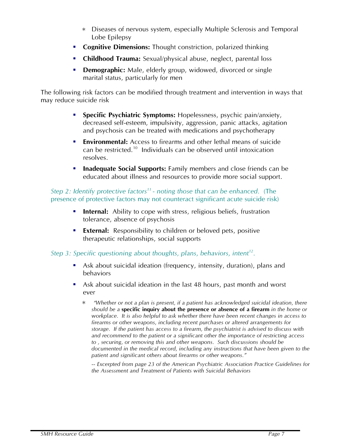- Diseases of nervous system, especially Multiple Sclerosis and Temporal Lobe Epilepsy
- **Cognitive Dimensions:** Thought constriction, polarized thinking
- **Childhood Trauma:** Sexual/physical abuse, neglect, parental loss
- **Demographic:** Male, elderly group, widowed, divorced or single marital status, particularly for men

The following risk factors can be modified through treatment and intervention in ways that may reduce suicide risk

- **Specific Psychiatric Symptoms:** Hopelessness, psychic pain/anxiety, decreased self-esteem, impulsivity, aggression, panic attacks, agitation and psychosis can be treated with medications and psychotherapy
- **Environmental:** Access to firearms and other lethal means of suicide can be restricted.10 Individuals can be observed until intoxication resolves.
- **Inadequate Social Supports:** Family members and close friends can be educated about illness and resources to provide more social support.

## *Step 2: Identify protective factors*<sup>11</sup> - noting those that can be enhanced. (The presence of protective factors may not counteract significant acute suicide risk)

- **Internal:** Ability to cope with stress, religious beliefs, frustration tolerance, absence of psychosis
- **External:** Responsibility to children or beloved pets, positive therapeutic relationships, social supports

# *Step 3: Specific questioning about thoughts, plans, behaviors, intent<sup>12</sup>.*

- Ask about suicidal ideation (frequency, intensity, duration), plans and behaviors
- Ask about suicidal ideation in the last 48 hours, past month and worst ever
	- *"Whether or not a plan is present, if a patient has acknowledged suicidal ideation, there should be a* **specific inquiry about the presence or absence of a firearm** *in the home or workplace. It is also helpful to ask whether there have been recent changes in access to firearms or other weapons, including recent purchases or altered arrangements for storage. If the patient has access to a firearm, the psychiatrist is advised to discuss with and recommend to the patient or a significant other the importance of restricting access to , securing, or removing this and other weapons. Such discussions should be documented in the medical record, including any instructions that have been given to the patient and significant others about firearms or other weapons."*

-- *Excerpted from page 23 of the American Psychiatric Association Practice Guidelines for the Assessment and Treatment of Patients with Suicidal Behaviors*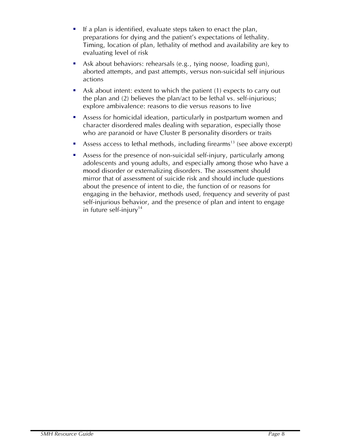- If a plan is identified, evaluate steps taken to enact the plan, preparations for dying and the patient's expectations of lethality. Timing, location of plan, lethality of method and availability are key to evaluating level of risk
- Ask about behaviors: rehearsals (e.g., tying noose, loading gun), aborted attempts, and past attempts, versus non-suicidal self injurious actions
- Ask about intent: extent to which the patient (1) expects to carry out the plan and (2) believes the plan/act to be lethal vs. self-injurious; explore ambivalence: reasons to die versus reasons to live
- Assess for homicidal ideation, particularly in postpartum women and character disordered males dealing with separation, especially those who are paranoid or have Cluster B personality disorders or traits
- Assess access to lethal methods, including firearms<sup>13</sup> (see above excerpt)
- Assess for the presence of non-suicidal self-injury, particularly among adolescents and young adults, and especially among those who have a mood disorder or externalizing disorders. The assessment should mirror that of assessment of suicide risk and should include questions about the presence of intent to die, the function of or reasons for engaging in the behavior, methods used, frequency and severity of past self-injurious behavior, and the presence of plan and intent to engage in future self-injury<sup>14</sup>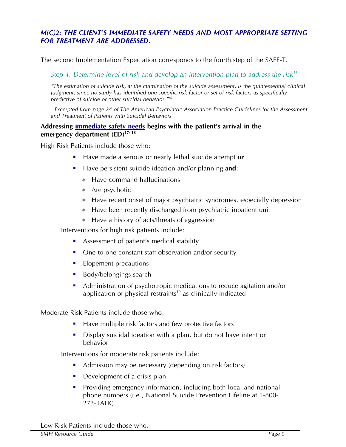## *M(C)2: THE CLIENT'S IMMEDIATE SAFETY NEEDS AND MOST APPROPRIATE SETTING FOR TREATMENT ARE ADDRESSED.*

#### The second Implementation Expectation corresponds to the fourth step of the SAFE-T.

#### *Step 4: Determine level of risk and develop an intervention plan to address the risk15*

*"The estimation of suicide risk, at the culmination of the suicide assessment, is the quintessential clinical judgment, since no study has identified one specific risk factor or set of risk factors as specifically predictive of suicide or other suicidal behavior."16*

*--Excerpted from page 24 of The American Psychiatric Association Practice Guidelines for the Assessment and Treatment of Patients with Suicidal Behaviors* 

#### **Addressing immediate safety needs begins with the patient's arrival in the emergency department (ED)17/ 18**

High Risk Patients include those who:

- Have made a serious or nearly lethal suicide attempt **or**
- Have persistent suicide ideation and/or planning **and**:
	- $*$  Have command hallucinations
	- Are psychotic
	- Have recent onset of major psychiatric syndromes, especially depression
	- Have been recently discharged from psychiatric inpatient unit
	- $*$  Have a history of acts/threats of aggression

Interventions for high risk patients include:

- Assessment of patient's medical stability
- One-to-one constant staff observation and/or security
- **Elopement precautions**
- **Body/belongings search**
- Administration of psychotropic medications to reduce agitation and/or application of physical restraints<sup>19</sup> as clinically indicated

Moderate Risk Patients include those who:

- Have multiple risk factors and few protective factors
- Display suicidal ideation with a plan, but do not have intent or behavior

Interventions for moderate risk patients include:

- Admission may be necessary (depending on risk factors)
- Development of a crisis plan
- Providing emergency information, including both local and national phone numbers (i.e., National Suicide Prevention Lifeline at 1-800- 273-TALK)

Low Risk Patients include those who: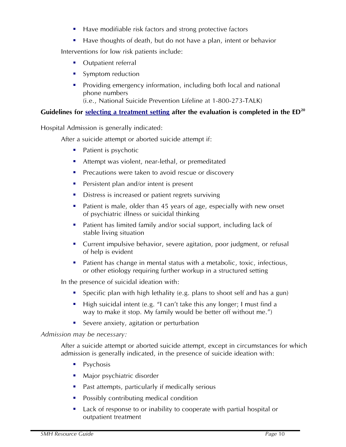- Have modifiable risk factors and strong protective factors
- Have thoughts of death, but do not have a plan, intent or behavior

Interventions for low risk patients include:

- Outpatient referral
- Symptom reduction
- **Providing emergency information, including both local and national** phone numbers (i.e., National Suicide Prevention Lifeline at 1-800-273-TALK)

# Guidelines for selecting a treatment setting after the evaluation is completed in the ED<sup>20</sup>

Hospital Admission is generally indicated:

After a suicide attempt or aborted suicide attempt if:

- Patient is psychotic
- Attempt was violent, near-lethal, or premeditated
- **Precautions were taken to avoid rescue or discovery**
- **Persistent plan and/or intent is present**
- Distress is increased or patient regrets surviving
- Patient is male, older than 45 years of age, especially with new onset of psychiatric illness or suicidal thinking
- Patient has limited family and/or social support, including lack of stable living situation
- Current impulsive behavior, severe agitation, poor judgment, or refusal of help is evident
- Patient has change in mental status with a metabolic, toxic, infectious, or other etiology requiring further workup in a structured setting

In the presence of suicidal ideation with:

- Specific plan with high lethality (e.g. plans to shoot self and has a gun)
- High suicidal intent (e.g. "I can't take this any longer; I must find a way to make it stop. My family would be better off without me.")
- Severe anxiety, agitation or perturbation

#### *Admission may be necessary:*

After a suicide attempt or aborted suicide attempt, except in circumstances for which admission is generally indicated, in the presence of suicide ideation with:

- **Psychosis**
- **Major psychiatric disorder**
- **Past attempts, particularly if medically serious**
- **Possibly contributing medical condition**
- Lack of response to or inability to cooperate with partial hospital or outpatient treatment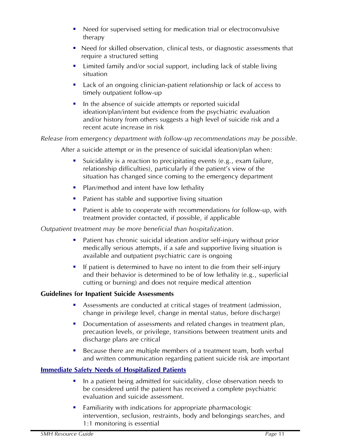- Need for supervised setting for medication trial or electroconvulsive therapy
- Need for skilled observation, clinical tests, or diagnostic assessments that require a structured setting
- **EXTERNIM** Limited family and/or social support, including lack of stable living situation
- Lack of an ongoing clinician-patient relationship or lack of access to timely outpatient follow-up
- In the absence of suicide attempts or reported suicidal ideation/plan/intent but evidence from the psychiatric evaluation and/or history from others suggests a high level of suicide risk and a recent acute increase in risk

# *Release from emergency department with follow-up recommendations may be possible.*

After a suicide attempt or in the presence of suicidal ideation/plan when:

- Suicidality is a reaction to precipitating events (e.g., exam failure, relationship difficulties), particularly if the patient's view of the situation has changed since coming to the emergency department
- Plan/method and intent have low lethality
- Patient has stable and supportive living situation
- Patient is able to cooperate with recommendations for follow-up, with treatment provider contacted, if possible, if applicable

# *Outpatient treatment may be more beneficial than hospitalization.*

- Patient has chronic suicidal ideation and/or self-injury without prior medically serious attempts, if a safe and supportive living situation is available and outpatient psychiatric care is ongoing
- If patient is determined to have no intent to die from their self-injury and their behavior is determined to be of low lethality (e.g., superficial cutting or burning) and does not require medical attention

# **Guidelines for Inpatient Suicide Assessments**

- Assessments are conducted at critical stages of treatment (admission, change in privilege level, change in mental status, before discharge)
- Documentation of assessments and related changes in treatment plan, precaution levels, or privilege, transitions between treatment units and discharge plans are critical
- Because there are multiple members of a treatment team, both verbal and written communication regarding patient suicide risk are important

# **Immediate Safety Needs of Hospitalized Patients**

- In a patient being admitted for suicidality, close observation needs to be considered until the patient has received a complete psychiatric evaluation and suicide assessment.
- Familiarity with indications for appropriate pharmacologic intervention, seclusion, restraints, body and belongings searches, and 1:1 monitoring is essential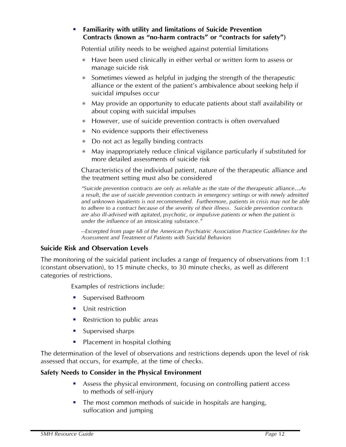### **Familiarity with utility and limitations of Suicide Prevention Contracts (known as "no-harm contracts" or "contracts for safety")**

Potential utility needs to be weighed against potential limitations

- Have been used clinically in either verbal or written form to assess or manage suicide risk
- $*$  Sometimes viewed as helpful in judging the strength of the therapeutic alliance or the extent of the patient's ambivalence about seeking help if suicidal impulses occur
- May provide an opportunity to educate patients about staff availability or about coping with suicidal impulses
- However, use of suicide prevention contracts is often overvalued
- No evidence supports their effectiveness
- Do not act as legally binding contracts
- May inappropriately reduce clinical vigilance particularly if substituted for more detailed assessments of suicide risk

Characteristics of the individual patient, nature of the therapeutic alliance and the treatment setting must also be considered

*"Suicide prevention contracts are only as reliable as the state of the therapeutic alliance…As a result, the use of suicide prevention contracts in emergency settings or with newly admitted and unknown inpatients is not recommended. Furthermore, patients in crisis may not be able to adhere to a contract because of the severity of their illness. Suicide prevention contracts are also ill-advised with agitated, psychotic, or impulsive patients or when the patient is under the influence of an intoxicating substance."* 

*--Excerpted from page 68 of the American Psychiatric Association Practice Guidelines for the Assessment and Treatment of Patients with Suicidal Behaviors* 

#### **Suicide Risk and Observation Levels**

The monitoring of the suicidal patient includes a range of frequency of observations from 1:1 (constant observation), to 15 minute checks, to 30 minute checks, as well as different categories of restrictions.

Examples of restrictions include:

- **Supervised Bathroom**
- **Unit restriction**
- Restriction to public areas
- Supervised sharps
- Placement in hospital clothing

The determination of the level of observations and restrictions depends upon the level of risk assessed that occurs, for example, at the time of checks.

#### **Safety Needs to Consider in the Physical Environment**

- Assess the physical environment, focusing on controlling patient access to methods of self-injury
- The most common methods of suicide in hospitals are hanging, suffocation and jumping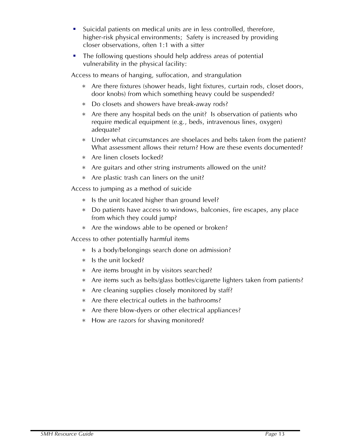- Suicidal patients on medical units are in less controlled, therefore, higher-risk physical environments; Safety is increased by providing closer observations, often 1:1 with a sitter
- The following questions should help address areas of potential vulnerability in the physical facility:

Access to means of hanging, suffocation, and strangulation

- Are there fixtures (shower heads, light fixtures, curtain rods, closet doors, door knobs) from which something heavy could be suspended?
- Do closets and showers have break-away rods?
- Are there any hospital beds on the unit? Is observation of patients who require medical equipment (e.g., beds, intravenous lines, oxygen) adequate?
- Under what circumstances are shoelaces and belts taken from the patient? What assessment allows their return? How are these events documented?
- Are linen closets locked?
- Are guitars and other string instruments allowed on the unit?
- $*$  Are plastic trash can liners on the unit?

Access to jumping as a method of suicide

- $*$  Is the unit located higher than ground level?
- Do patients have access to windows, balconies, fire escapes, any place from which they could jump?
- \* Are the windows able to be opened or broken?

Access to other potentially harmful items

- Is a body/belongings search done on admission?
- $*$  Is the unit locked?
- Are items brought in by visitors searched?
- Are items such as belts/glass bottles/cigarette lighters taken from patients?
- Are cleaning supplies closely monitored by staff?
- Are there electrical outlets in the bathrooms?
- \* Are there blow-dyers or other electrical appliances?
- \* How are razors for shaving monitored?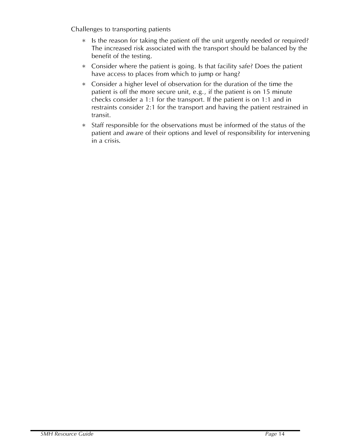Challenges to transporting patients

- $*$  Is the reason for taking the patient off the unit urgently needed or required? The increased risk associated with the transport should be balanced by the benefit of the testing.
- Consider where the patient is going. Is that facility safe? Does the patient have access to places from which to jump or hang?
- Consider a higher level of observation for the duration of the time the patient is off the more secure unit, e.g., if the patient is on 15 minute checks consider a 1:1 for the transport. If the patient is on 1:1 and in restraints consider 2:1 for the transport and having the patient restrained in transit.
- Staff responsible for the observations must be informed of the status of the patient and aware of their options and level of responsibility for intervening in a crisis*.*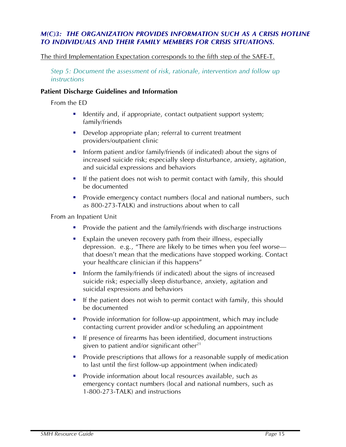## *M(C)3: THE ORGANIZATION PROVIDES INFORMATION SUCH AS A CRISIS HOTLINE TO INDIVIDUALS AND THEIR FAMILY MEMBERS FOR CRISIS SITUATIONS.*

#### The third Implementation Expectation corresponds to the fifth step of the SAFE-T.

*Step 5: Document the assessment of risk, rationale, intervention and follow up instructions* 

#### **Patient Discharge Guidelines and Information**

From the ED

- I dentify and, if appropriate, contact outpatient support system; family/friends
- Develop appropriate plan; referral to current treatment providers/outpatient clinic
- **Inform patient and/or family/friends (if indicated) about the signs of** increased suicide risk; especially sleep disturbance, anxiety, agitation, and suicidal expressions and behaviors
- If the patient does not wish to permit contact with family, this should be documented
- **Provide emergency contact numbers (local and national numbers, such** as 800-273-TALK) and instructions about when to call

From an Inpatient Unit

- **Provide the patient and the family/friends with discharge instructions**
- **Explain the uneven recovery path from their illness, especially** depression. e.g., "There are likely to be times when you feel worse that doesn't mean that the medications have stopped working. Contact your healthcare clinician if this happens"
- Inform the family/friends (if indicated) about the signs of increased suicide risk; especially sleep disturbance, anxiety, agitation and suicidal expressions and behaviors
- If the patient does not wish to permit contact with family, this should be documented
- **Provide information for follow-up appointment, which may include** contacting current provider and/or scheduling an appointment
- **If presence of firearms has been identified, document instructions** given to patient and/or significant other $^{21}$
- **Provide prescriptions that allows for a reasonable supply of medication** to last until the first follow-up appointment (when indicated)
- Provide information about local resources available, such as emergency contact numbers (local and national numbers, such as 1-800-273-TALK) and instructions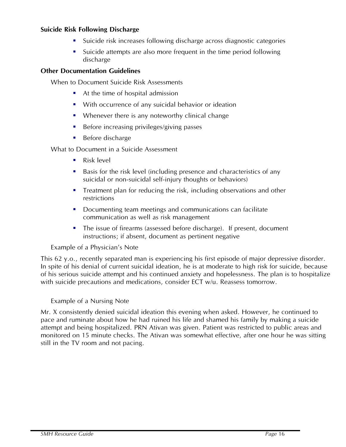## **Suicide Risk Following Discharge**

- Suicide risk increases following discharge across diagnostic categories
- Suicide attempts are also more frequent in the time period following discharge

#### **Other Documentation Guidelines**

When to Document Suicide Risk Assessments

- At the time of hospital admission
- **With occurrence of any suicidal behavior or ideation**
- Whenever there is any noteworthy clinical change
- Before increasing privileges/giving passes
- Before discharge

What to Document in a Suicide Assessment

- Risk level
- Basis for the risk level (including presence and characteristics of any suicidal or non-suicidal self-injury thoughts or behaviors)
- Treatment plan for reducing the risk, including observations and other restrictions
- Documenting team meetings and communications can facilitate communication as well as risk management
- The issue of firearms (assessed before discharge). If present, document instructions; if absent, document as pertinent negative

#### Example of a Physician's Note

This 62 y.o., recently separated man is experiencing his first episode of major depressive disorder. In spite of his denial of current suicidal ideation, he is at moderate to high risk for suicide, because of his serious suicide attempt and his continued anxiety and hopelessness. The plan is to hospitalize with suicide precautions and medications, consider ECT w/u. Reassess tomorrow.

#### Example of a Nursing Note

Mr. X consistently denied suicidal ideation this evening when asked. However, he continued to pace and ruminate about how he had ruined his life and shamed his family by making a suicide attempt and being hospitalized. PRN Ativan was given. Patient was restricted to public areas and monitored on 15 minute checks. The Ativan was somewhat effective, after one hour he was sitting still in the TV room and not pacing.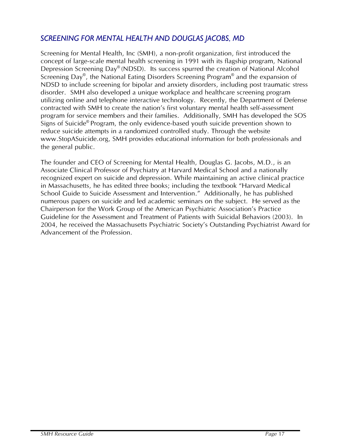# *SCREENING FOR MENTAL HEALTH AND DOUGLAS JACOBS, MD*

Screening for Mental Health, Inc (SMH), a non-profit organization, first introduced the concept of large-scale mental health screening in 1991 with its flagship program, National Depression Screening Day<sup>®</sup> (NDSD). Its success spurred the creation of National Alcohol Screening Day®, the National Eating Disorders Screening Program® and the expansion of NDSD to include screening for bipolar and anxiety disorders, including post traumatic stress disorder. SMH also developed a unique workplace and healthcare screening program utilizing online and telephone interactive technology. Recently, the Department of Defense contracted with SMH to create the nation's first voluntary mental health self-assessment program for service members and their families. Additionally, SMH has developed the SOS Signs of Suicide® Program, the only evidence-based youth suicide prevention shown to reduce suicide attempts in a randomized controlled study. Through the website www.StopASuicide.org, SMH provides educational information for both professionals and the general public.

The founder and CEO of Screening for Mental Health, Douglas G. Jacobs, M.D., is an Associate Clinical Professor of Psychiatry at Harvard Medical School and a nationally recognized expert on suicide and depression. While maintaining an active clinical practice in Massachusetts, he has edited three books; including the textbook "Harvard Medical School Guide to Suicide Assessment and Intervention." Additionally, he has published numerous papers on suicide and led academic seminars on the subject. He served as the Chairperson for the Work Group of the American Psychiatric Association's Practice Guideline for the Assessment and Treatment of Patients with Suicidal Behaviors (2003). In 2004, he received the Massachusetts Psychiatric Society's Outstanding Psychiatrist Award for Advancement of the Profession.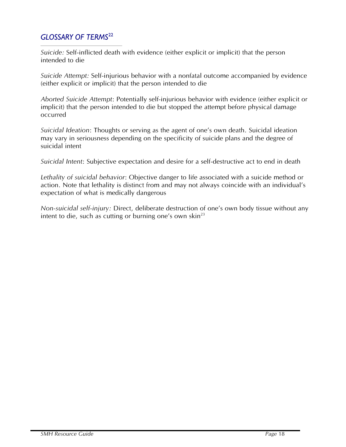# *GLOSSARY OF TERMS*<sup>22</sup>

*Suicide:* Self-inflicted death with evidence (either explicit or implicit) that the person intended to die

*Suicide Attempt:* Self-injurious behavior with a nonfatal outcome accompanied by evidence (either explicit or implicit) that the person intended to die

*Aborted Suicide Attempt*: Potentially self-injurious behavior with evidence (either explicit or implicit) that the person intended to die but stopped the attempt before physical damage occurred

*Suicidal Ideation*: Thoughts or serving as the agent of one's own death. Suicidal ideation may vary in seriousness depending on the specificity of suicide plans and the degree of suicidal intent

*Suicidal Intent*: Subjective expectation and desire for a self-destructive act to end in death

*Lethality of suicidal behavior*: Objective danger to life associated with a suicide method or action. Note that lethality is distinct from and may not always coincide with an individual's expectation of what is medically dangerous

*Non-suicidal self-injury:* Direct, deliberate destruction of one's own body tissue without any intent to die, such as cutting or burning one's own skin<sup>23</sup>